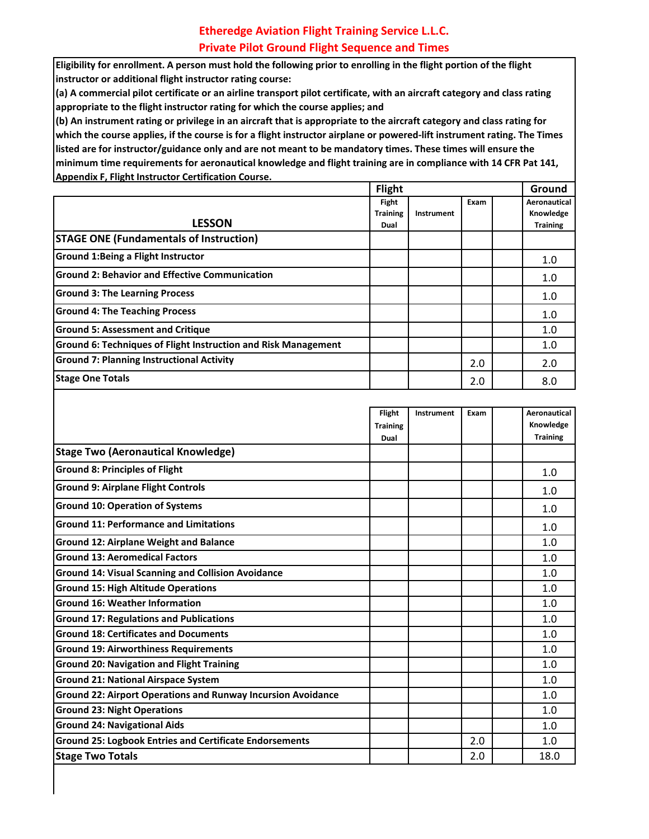## **Etheredge Aviation Flight Training Service L.L.C. Private Pilot Ground Flight Sequence and Times**

**Eligibility for enrollment. A person must hold the following prior to enrolling in the flight portion of the flight instructor or additional flight instructor rating course:**

**(a) A commercial pilot certificate or an airline transport pilot certificate, with an aircraft category and class rating appropriate to the flight instructor rating for which the course applies; and**

**(b) An instrument rating or privilege in an aircraft that is appropriate to the aircraft category and class rating for which the course applies, if the course is for a flight instructor airplane or powered-lift instrument rating. The Times listed are for instructor/guidance only and are not meant to be mandatory times. These times will ensure the minimum time requirements for aeronautical knowledge and flight training are in compliance with 14 CFR Pat 141, Appendix F, Flight Instructor Certification Course.**

|                                                                       | <b>Flight</b>            |            |      |  | Ground                    |  |
|-----------------------------------------------------------------------|--------------------------|------------|------|--|---------------------------|--|
|                                                                       | Fight<br><b>Training</b> | Instrument | Exam |  | Aeronautical<br>Knowledge |  |
| <b>LESSON</b>                                                         | Dual                     |            |      |  | <b>Training</b>           |  |
| <b>STAGE ONE (Fundamentals of Instruction)</b>                        |                          |            |      |  |                           |  |
| <b>Ground 1:Being a Flight Instructor</b>                             |                          |            |      |  | 1.0                       |  |
| <b>Ground 2: Behavior and Effective Communication</b>                 |                          |            |      |  | 1.0                       |  |
| <b>Ground 3: The Learning Process</b>                                 |                          |            |      |  | 1.0                       |  |
| <b>Ground 4: The Teaching Process</b>                                 |                          |            |      |  | 1.0                       |  |
| <b>Ground 5: Assessment and Critique</b>                              |                          |            |      |  | 1.0                       |  |
| <b>Ground 6: Techniques of Flight Instruction and Risk Management</b> |                          |            |      |  | 1.0                       |  |
| <b>Ground 7: Planning Instructional Activity</b>                      |                          |            | 2.0  |  | 2.0                       |  |
| <b>Stage One Totals</b>                                               |                          |            | 2.0  |  | 8.0                       |  |
|                                                                       |                          |            |      |  |                           |  |

|                                                                     | <b>Flight</b><br><b>Training</b><br>Dual | Instrument | Exam | <b>Aeronautical</b><br>Knowledge<br><b>Training</b> |
|---------------------------------------------------------------------|------------------------------------------|------------|------|-----------------------------------------------------|
| <b>Stage Two (Aeronautical Knowledge)</b>                           |                                          |            |      |                                                     |
| <b>Ground 8: Principles of Flight</b>                               |                                          |            |      | 1.0                                                 |
| <b>Ground 9: Airplane Flight Controls</b>                           |                                          |            |      | 1.0                                                 |
| <b>Ground 10: Operation of Systems</b>                              |                                          |            |      | 1.0                                                 |
| <b>Ground 11: Performance and Limitations</b>                       |                                          |            |      | 1.0                                                 |
| <b>Ground 12: Airplane Weight and Balance</b>                       |                                          |            |      | 1.0                                                 |
| <b>Ground 13: Aeromedical Factors</b>                               |                                          |            |      | 1.0                                                 |
| <b>Ground 14: Visual Scanning and Collision Avoidance</b>           |                                          |            |      | 1.0                                                 |
| <b>Ground 15: High Altitude Operations</b>                          |                                          |            |      | 1.0                                                 |
| <b>Ground 16: Weather Information</b>                               |                                          |            |      | 1.0                                                 |
| <b>Ground 17: Regulations and Publications</b>                      |                                          |            |      | 1.0                                                 |
| <b>Ground 18: Certificates and Documents</b>                        |                                          |            |      | 1.0                                                 |
| <b>Ground 19: Airworthiness Requirements</b>                        |                                          |            |      | 1.0                                                 |
| <b>Ground 20: Navigation and Flight Training</b>                    |                                          |            |      | 1.0                                                 |
| <b>Ground 21: National Airspace System</b>                          |                                          |            |      | 1.0                                                 |
| <b>Ground 22: Airport Operations and Runway Incursion Avoidance</b> |                                          |            |      | 1.0                                                 |
| <b>Ground 23: Night Operations</b>                                  |                                          |            |      | 1.0                                                 |
| <b>Ground 24: Navigational Aids</b>                                 |                                          |            |      | 1.0                                                 |
| <b>Ground 25: Logbook Entries and Certificate Endorsements</b>      |                                          |            | 2.0  | 1.0                                                 |
| <b>Stage Two Totals</b>                                             |                                          |            | 2.0  | 18.0                                                |